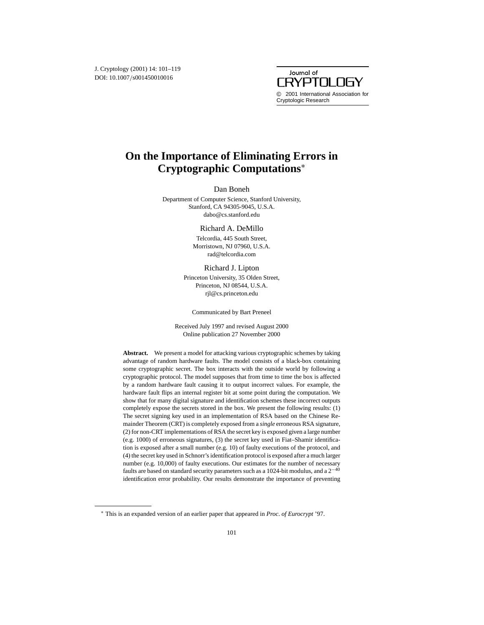DOI: 10.1007/s001450010016 J. Cryptology (2001) 14: 101–119



# **On the Importance of Eliminating Errors in Cryptographic Computations**<sup>∗</sup>

#### Dan Boneh

Department of Computer Science, Stanford University, Stanford, CA 94305-9045, U.S.A. dabo@cs.stanford.edu

> Richard A. DeMillo Telcordia, 445 South Street, Morristown, NJ 07960, U.S.A. rad@telcordia.com

Richard J. Lipton Princeton University, 35 Olden Street, Princeton, NJ 08544, U.S.A. rjl@cs.princeton.edu

Communicated by Bart Preneel

Received July 1997 and revised August 2000 Online publication 27 November 2000

**Abstract.** We present a model for attacking various cryptographic schemes by taking advantage of random hardware faults. The model consists of a black-box containing some cryptographic secret. The box interacts with the outside world by following a cryptographic protocol. The model supposes that from time to time the box is affected by a random hardware fault causing it to output incorrect values. For example, the hardware fault flips an internal register bit at some point during the computation. We show that for many digital signature and identification schemes these incorrect outputs completely expose the secrets stored in the box. We present the following results: (1) The secret signing key used in an implementation of RSA based on the Chinese Remainder Theorem (CRT) is completely exposed from a *single* erroneous RSA signature, (2) for non-CRT implementations of RSA the secret key is exposed given a large number (e.g. 1000) of erroneous signatures, (3) the secret key used in Fiat–Shamir identification is exposed after a small number (e.g. 10) of faulty executions of the protocol, and (4) the secret key used in Schnorr's identification protocol is exposed after a much larger number (e.g. 10,000) of faulty executions. Our estimates for the number of necessary faults are based on standard security parameters such as a 1024-bit modulus, and a  $2^{-40}$ identification error probability. Our results demonstrate the importance of preventing

<sup>∗</sup> This is an expanded version of an earlier paper that appeared in *Proc*. *of Eurocrypt* '97.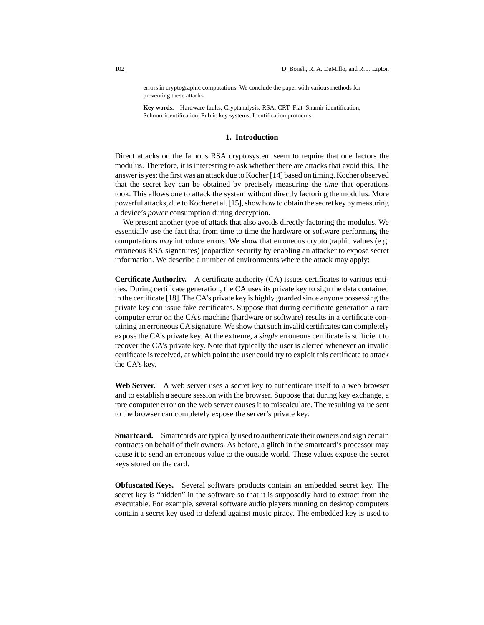errors in cryptographic computations. We conclude the paper with various methods for preventing these attacks.

**Key words.** Hardware faults, Cryptanalysis, RSA, CRT, Fiat–Shamir identification, Schnorr identification, Public key systems, Identification protocols.

### **1. Introduction**

Direct attacks on the famous RSA cryptosystem seem to require that one factors the modulus. Therefore, it is interesting to ask whether there are attacks that avoid this. The answer is yes: the first was an attack due to Kocher [14] based on timing. Kocher observed that the secret key can be obtained by precisely measuring the *time* that operations took. This allows one to attack the system without directly factoring the modulus. More powerful attacks, due to Kocher et al. [15], show how to obtain the secret key by measuring a device's *power* consumption during decryption.

We present another type of attack that also avoids directly factoring the modulus. We essentially use the fact that from time to time the hardware or software performing the computations *may* introduce errors. We show that erroneous cryptographic values (e.g. erroneous RSA signatures) jeopardize security by enabling an attacker to expose secret information. We describe a number of environments where the attack may apply:

**Certificate Authority.** A certificate authority (CA) issues certificates to various entities. During certificate generation, the CA uses its private key to sign the data contained in the certificate [18]. The CA's private key is highly guarded since anyone possessing the private key can issue fake certificates. Suppose that during certificate generation a rare computer error on the CA's machine (hardware or software) results in a certificate containing an erroneous CA signature. We show that such invalid certificates can completely expose the CA's private key. At the extreme, a *single* erroneous certificate is sufficient to recover the CA's private key. Note that typically the user is alerted whenever an invalid certificate is received, at which point the user could try to exploit this certificate to attack the CA's key.

Web Server. A web server uses a secret key to authenticate itself to a web browser and to establish a secure session with the browser. Suppose that during key exchange, a rare computer error on the web server causes it to miscalculate. The resulting value sent to the browser can completely expose the server's private key.

**Smartcard.** Smartcards are typically used to authenticate their owners and sign certain contracts on behalf of their owners. As before, a glitch in the smartcard's processor may cause it to send an erroneous value to the outside world. These values expose the secret keys stored on the card.

**Obfuscated Keys.** Several software products contain an embedded secret key. The secret key is "hidden" in the software so that it is supposedly hard to extract from the executable. For example, several software audio players running on desktop computers contain a secret key used to defend against music piracy. The embedded key is used to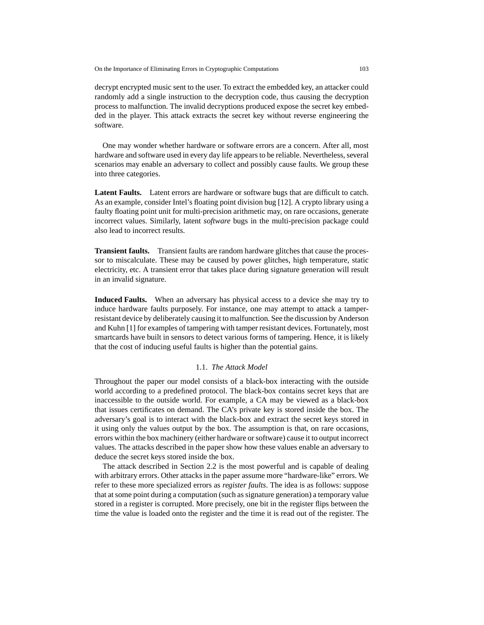decrypt encrypted music sent to the user. To extract the embedded key, an attacker could randomly add a single instruction to the decryption code, thus causing the decryption process to malfunction. The invalid decryptions produced expose the secret key embedded in the player. This attack extracts the secret key without reverse engineering the software.

One may wonder whether hardware or software errors are a concern. After all, most hardware and software used in every day life appears to be reliable. Nevertheless, several scenarios may enable an adversary to collect and possibly cause faults. We group these into three categories.

Latent Faults. Latent errors are hardware or software bugs that are difficult to catch. As an example, consider Intel's floating point division bug [12]. A crypto library using a faulty floating point unit for multi-precision arithmetic may, on rare occasions, generate incorrect values. Similarly, latent *software* bugs in the multi-precision package could also lead to incorrect results.

**Transient faults.** Transient faults are random hardware glitches that cause the processor to miscalculate. These may be caused by power glitches, high temperature, static electricity, etc. A transient error that takes place during signature generation will result in an invalid signature.

**Induced Faults.** When an adversary has physical access to a device she may try to induce hardware faults purposely. For instance, one may attempt to attack a tamperresistant device by deliberately causing it to malfunction. See the discussion by Anderson and Kuhn [1] for examples of tampering with tamper resistant devices. Fortunately, most smartcards have built in sensors to detect various forms of tampering. Hence, it is likely that the cost of inducing useful faults is higher than the potential gains.

## 1.1. *The Attack Model*

Throughout the paper our model consists of a black-box interacting with the outside world according to a predefined protocol. The black-box contains secret keys that are inaccessible to the outside world. For example, a CA may be viewed as a black-box that issues certificates on demand. The CA's private key is stored inside the box. The adversary's goal is to interact with the black-box and extract the secret keys stored in it using only the values output by the box. The assumption is that, on rare occasions, errors within the box machinery (either hardware or software) cause it to output incorrect values. The attacks described in the paper show how these values enable an adversary to deduce the secret keys stored inside the box.

The attack described in Section 2.2 is the most powerful and is capable of dealing with arbitrary errors. Other attacks in the paper assume more "hardware-like" errors. We refer to these more specialized errors as *register faults*. The idea is as follows: suppose that at some point during a computation (such as signature generation) a temporary value stored in a register is corrupted. More precisely, one bit in the register flips between the time the value is loaded onto the register and the time it is read out of the register. The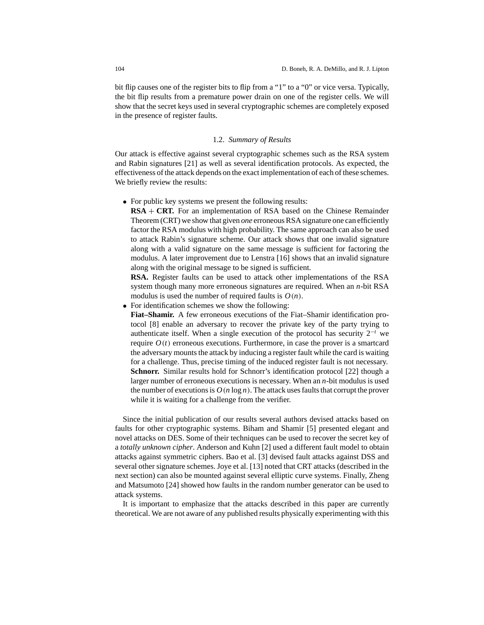bit flip causes one of the register bits to flip from a "1" to a "0" or vice versa. Typically, the bit flip results from a premature power drain on one of the register cells. We will show that the secret keys used in several cryptographic schemes are completely exposed in the presence of register faults.

## 1.2. *Summary of Results*

Our attack is effective against several cryptographic schemes such as the RSA system and Rabin signatures [21] as well as several identification protocols. As expected, the effectiveness of the attack depends on the exact implementation of each of these schemes. We briefly review the results:

• For public key systems we present the following results:

**RSA** + **CRT.** For an implementation of RSA based on the Chinese Remainder Theorem (CRT) we show that given *one* erroneous RSA signature one can efficiently factor the RSA modulus with high probability. The same approach can also be used to attack Rabin's signature scheme. Our attack shows that one invalid signature along with a valid signature on the same message is sufficient for factoring the modulus. A later improvement due to Lenstra [16] shows that an invalid signature along with the original message to be signed is sufficient.

**RSA.** Register faults can be used to attack other implementations of the RSA system though many more erroneous signatures are required. When an *n*-bit RSA modulus is used the number of required faults is  $O(n)$ .

• For identification schemes we show the following:

**Fiat–Shamir.** A few erroneous executions of the Fiat–Shamir identification protocol [8] enable an adversary to recover the private key of the party trying to authenticate itself. When a single execution of the protocol has security 2<sup>−</sup>*<sup>t</sup>* we require  $O(t)$  erroneous executions. Furthermore, in case the prover is a smartcard the adversary mounts the attack by inducing a register fault while the card is waiting for a challenge. Thus, precise timing of the induced register fault is not necessary. **Schnorr.** Similar results hold for Schnorr's identification protocol [22] though a larger number of erroneous executions is necessary. When an *n*-bit modulus is used the number of executions is  $O(n \log n)$ . The attack uses faults that corrupt the prover while it is waiting for a challenge from the verifier.

Since the initial publication of our results several authors devised attacks based on faults for other cryptographic systems. Biham and Shamir [5] presented elegant and novel attacks on DES. Some of their techniques can be used to recover the secret key of a *totally unknown cipher*. Anderson and Kuhn [2] used a different fault model to obtain attacks against symmetric ciphers. Bao et al. [3] devised fault attacks against DSS and several other signature schemes. Joye et al. [13] noted that CRT attacks (described in the next section) can also be mounted against several elliptic curve systems. Finally, Zheng and Matsumoto [24] showed how faults in the random number generator can be used to attack systems.

It is important to emphasize that the attacks described in this paper are currently theoretical. We are not aware of any published results physically experimenting with this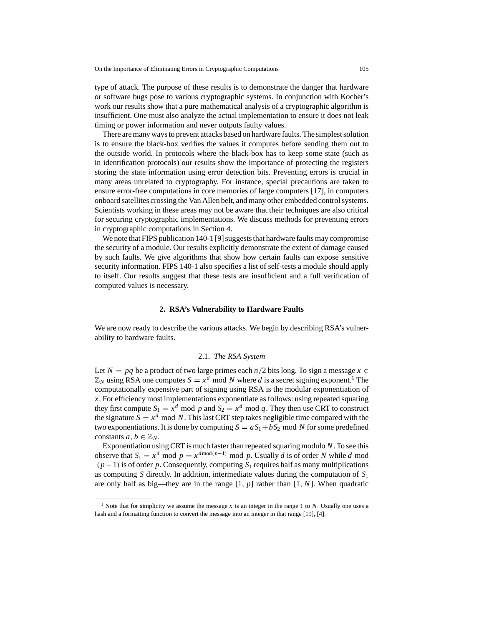type of attack. The purpose of these results is to demonstrate the danger that hardware or software bugs pose to various cryptographic systems. In conjunction with Kocher's work our results show that a pure mathematical analysis of a cryptographic algorithm is insufficient. One must also analyze the actual implementation to ensure it does not leak timing or power information and never outputs faulty values.

There are many ways to prevent attacks based on hardware faults. The simplest solution is to ensure the black-box verifies the values it computes before sending them out to the outside world. In protocols where the black-box has to keep some state (such as in identification protocols) our results show the importance of protecting the registers storing the state information using error detection bits. Preventing errors is crucial in many areas unrelated to cryptography. For instance, special precautions are taken to ensure error-free computations in core memories of large computers [17], in computers onboard satellites crossing the Van Allen belt, and many other embedded control systems. Scientists working in these areas may not be aware that their techniques are also critical for securing cryptographic implementations. We discuss methods for preventing errors in cryptographic computations in Section 4.

We note that FIPS publication 140-1 [9] suggests that hardware faults may compromise the security of a module. Our results explicitly demonstrate the extent of damage caused by such faults. We give algorithms that show how certain faults can expose sensitive security information. FIPS 140-1 also specifies a list of self-tests a module should apply to itself. Our results suggest that these tests are insufficient and a full verification of computed values is necessary.

## **2. RSA's Vulnerability to Hardware Faults**

We are now ready to describe the various attacks. We begin by describing RSA's vulnerability to hardware faults.

# 2.1. *The RSA System*

Let  $N = pq$  be a product of two large primes each  $n/2$  bits long. To sign a message  $x \in$  $\mathbb{Z}_N$  using RSA one computes  $S = x^d \mod N$  where *d* is a secret signing exponent.<sup>1</sup> The computationally expensive part of signing using RSA is the modular exponentiation of *x*. For efficiency most implementations exponentiate as follows: using repeated squaring they first compute  $S_1 = x^d \mod p$  and  $S_2 = x^d \mod q$ . They then use CRT to construct the signature  $S = x^d \mod N$ . This last CRT step takes negligible time compared with the two exponentiations. It is done by computing  $S = aS_1 + bS_2$  mod *N* for some predefined constants  $a, b \in \mathbb{Z}_N$ .

Exponentiation using CRT is much faster than repeated squaring modulo *N*. To see this observe that  $S_1 = x^d \mod p = x^{d \mod (p-1)} \mod p$ . Usually *d* is of order *N* while *d* mod (*p*−1) is of order *p*. Consequently, computing *S*<sup>1</sup> requires half as many multiplications as computing *S* directly. In addition, intermediate values during the computation of *S*<sup>1</sup> are only half as big—they are in the range [1, *p*] rather than [1, *N*]. When quadratic

<sup>1</sup> Note that for simplicity we assume the message *x* is an integer in the range 1 to *N*. Usually one uses a hash and a formatting function to convert the message into an integer in that range [19], [4].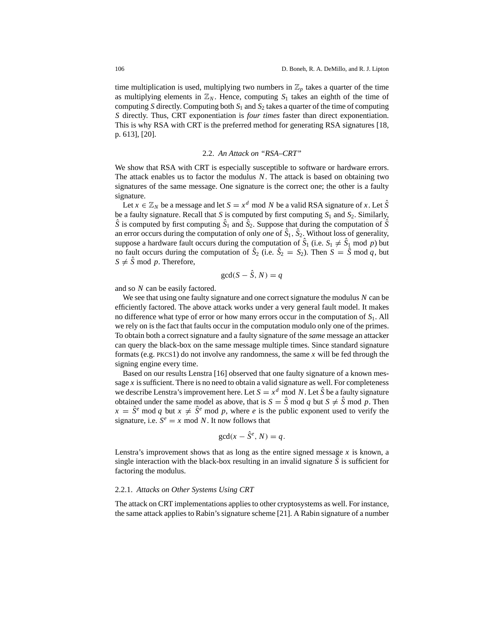time multiplication is used, multiplying two numbers in  $\mathbb{Z}_p$  takes a quarter of the time as multiplying elements in  $\mathbb{Z}_N$ . Hence, computing  $S_1$  takes an eighth of the time of computing *S* directly. Computing both *S*<sup>1</sup> and *S*<sup>2</sup> takes a quarter of the time of computing *S* directly. Thus, CRT exponentiation is *four times* faster than direct exponentiation. This is why RSA with CRT is the preferred method for generating RSA signatures [18, p. 613], [20].

## 2.2. *An Attack on "RSA–CRT"*

We show that RSA with CRT is especially susceptible to software or hardware errors. The attack enables us to factor the modulus *N*. The attack is based on obtaining two signatures of the same message. One signature is the correct one; the other is a faulty signature.

Let  $x \in \mathbb{Z}_N$  be a message and let  $S = x^d \mod N$  be a valid RSA signature of *x*. Let  $\hat{S}$ be a faulty signature. Recall that *S* is computed by first computing  $S_1$  and  $S_2$ . Similarly,  $\hat{S}$  is computed by first computing  $\hat{S}_1$  and  $\hat{S}_2$ . Suppose that during the computation of  $\hat{S}$ an error occurs during the computation of only *one* of  $\hat{S}_1$ ,  $\hat{S}_2$ . Without loss of generality, suppose a hardware fault occurs during the computation of  $\hat{S}_1$  (i.e.  $S_1 \neq \hat{S}_1$  mod *p*) but no fault occurs during the computation of  $\hat{S}_2$  (i.e.  $\hat{S}_2 = S_2$ ). Then  $S = \hat{S} \text{ mod } q$ , but  $S \neq \overline{S}$  mod *p*. Therefore,

$$
\gcd(S - \hat{S}, N) = q
$$

and so *N* can be easily factored.

We see that using one faulty signature and one correct signature the modulus *N* can be efficiently factored. The above attack works under a very general fault model. It makes no difference what type of error or how many errors occur in the computation of *S*1. All we rely on is the fact that faults occur in the computation modulo only one of the primes. To obtain both a correct signature and a faulty signature of the *same* message an attacker can query the black-box on the same message multiple times. Since standard signature formats (e.g. PKCS1) do not involve any randomness, the same *x* will be fed through the signing engine every time.

Based on our results Lenstra [16] observed that one faulty signature of a known message  $x$  is sufficient. There is no need to obtain a valid signature as well. For completeness we describe Lenstra's improvement here. Let  $S = x^d \mod N$ . Let  $\hat{S}$  be a faulty signature obtained under the same model as above, that is  $S = \hat{S} \text{ mod } q$  but  $S \neq \hat{S} \text{ mod } p$ . Then  $x = \hat{S}^e$  mod *q* but  $x \neq \hat{S}^e$  mod *p*, where *e* is the public exponent used to verify the signature, i.e.  $S^e = x \text{ mod } N$ . It now follows that

$$
\gcd(x - \hat{S}^e, N) = q.
$$

Lenstra's improvement shows that as long as the entire signed message  $x$  is known, a single interaction with the black-box resulting in an invalid signature  $\hat{S}$  is sufficient for factoring the modulus.

## 2.2.1. *Attacks on Other Systems Using CRT*

The attack on CRT implementations applies to other cryptosystems as well. For instance, the same attack applies to Rabin's signature scheme [21]. A Rabin signature of a number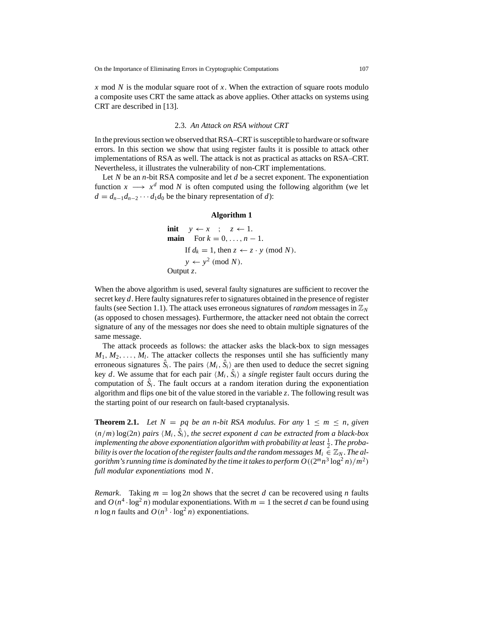*x* mod *N* is the modular square root of *x*. When the extraction of square roots modulo a composite uses CRT the same attack as above applies. Other attacks on systems using CRT are described in [13].

## 2.3. *An Attack on RSA without CRT*

In the previous section we observed that RSA–CRT is susceptible to hardware or software errors. In this section we show that using register faults it is possible to attack other implementations of RSA as well. The attack is not as practical as attacks on RSA–CRT. Nevertheless, it illustrates the vulnerability of non-CRT implementations.

Let *N* be an *n*-bit RSA composite and let *d* be a secret exponent. The exponentiation function  $x \rightarrow x^d$  mod N is often computed using the following algorithm (we let  $d = d_{n-1}d_{n-2}\cdots d_1d_0$  be the binary representation of *d*):

#### **Algorithm 1**

**init** 
$$
y \leftarrow x
$$
 ;  $z \leftarrow 1$ .  
\n**main** For  $k = 0, ..., n - 1$ .  
\nIf  $d_k = 1$ , then  $z \leftarrow z \cdot y \pmod{N}$ .  
\n $y \leftarrow y^2 \pmod{N}$ .  
\nOutput *z*.

When the above algorithm is used, several faulty signatures are sufficient to recover the secret key *d*. Here faulty signatures refer to signatures obtained in the presence of register faults (see Section 1.1). The attack uses erroneous signatures of *random* messages in  $\mathbb{Z}_N$ (as opposed to chosen messages). Furthermore, the attacker need not obtain the correct signature of any of the messages nor does she need to obtain multiple signatures of the same message.

The attack proceeds as follows: the attacker asks the black-box to sign messages  $M_1, M_2, \ldots, M_l$ . The attacker collects the responses until she has sufficiently many erroneous signatures  $\hat{S}_i$ . The pairs  $\langle M_i, \hat{S}_i \rangle$  are then used to deduce the secret signing key *d*. We assume that for each pair  $\langle M_i, \hat{S}_i \rangle$  a *single* register fault occurs during the computation of  $\hat{S}_i$ . The fault occurs at a random iteration during the exponentiation algorithm and flips one bit of the value stored in the variable *z*. The following result was the starting point of our research on fault-based cryptanalysis.

**Theorem 2.1.** *Let*  $N = pq$  *be an n-bit RSA modulus. For any*  $1 \leq m \leq n$ , *given*  $(n/m)$  log(2*n*) *pairs*  $\langle M_i, \hat{S}_i \rangle$ , the secret exponent d can be extracted from a black-box implementing the above exponentiation algorithm with probability at least  $\frac{1}{2}.$  The proba*bility is over the location of the register faults and the random messages*  $M_i \in \mathbb{Z}_N$ . The al*gorithm's running time is dominated by the time it takes to perform*  $O((2^m n^3 \log^2 n)/m^2)$ *full modular exponentiations* mod *N*.

*Remark*. Taking  $m = \log 2n$  shows that the secret *d* can be recovered using *n* faults and  $O(n^4 \cdot \log^2 n)$  modular exponentiations. With  $m = 1$  the secret *d* can be found using *n* log *n* faults and  $O(n^3 \cdot \log^2 n)$  exponentiations.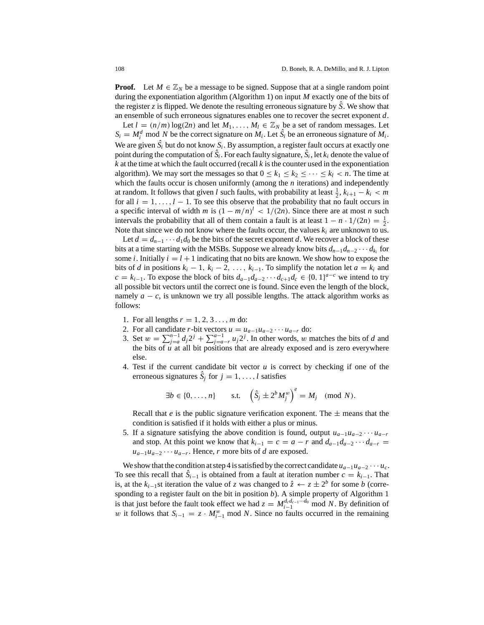**Proof.** Let  $M \in \mathbb{Z}_N$  be a message to be signed. Suppose that at a single random point during the exponentiation algorithm (Algorithm 1) on input *M* exactly one of the bits of the register *z* is flipped. We denote the resulting erroneous signature by *S*ˆ. We show that an ensemble of such erroneous signatures enables one to recover the secret exponent *d*.

Let  $l = (n/m) \log(2n)$  and let  $M_1, \ldots, M_l \in \mathbb{Z}_N$  be a set of random messages. Let  $S_i = M_i^d$  mod *N* be the correct signature on  $M_i$ . Let  $\hat{S}_i$  be an erroneous signature of  $M_i$ . We are given  $\hat{S}_i$  but do not know  $S_i$ . By assumption, a register fault occurs at exactly one point during the computation of  $\hat{S}_i$ . For each faulty signature,  $\hat{S}_i$ , let  $k_i$  denote the value of *k* at the time at which the fault occurred (recall *k* is the counter used in the exponentiation algorithm). We may sort the messages so that  $0 \le k_1 \le k_2 \le \cdots \le k_l < n$ . The time at which the faults occur is chosen uniformly (among the *n* iterations) and independently at random. It follows that given *l* such faults, with probability at least  $\frac{1}{2}$ ,  $k_{i+1} - k_i < m$ for all  $i = 1, \ldots, l - 1$ . To see this observe that the probability that no fault occurs in a specific interval of width *m* is  $(1 - m/n)^{l} < 1/(2n)$ . Since there are at most *n* such intervals the probability that all of them contain a fault is at least  $1 - n \cdot 1/(2n) = \frac{1}{2}$ . Note that since we do not know where the faults occur, the values  $k_i$  are unknown to us.

Let  $d = d_{n-1} \cdots d_1 d_0$  be the bits of the secret exponent *d*. We recover a block of these bits at a time starting with the MSBs. Suppose we already know bits  $d_{n-1}d_{n-2}\cdots d_{k_i}$  for some *i*. Initially  $i = l + 1$  indicating that no bits are known. We show how to expose the bits of *d* in positions  $k_i - 1$ ,  $k_i - 2$ , ...,  $k_{i-1}$ . To simplify the notation let  $a = k_i$  and *c* =  $k_{i-1}$ . To expose the block of bits  $d_{a-1}d_{a-2}\cdots d_{c+1}d_c$  ∈ {0, 1}<sup>*a*−*c*</sup> we intend to try all possible bit vectors until the correct one is found. Since even the length of the block, namely  $a - c$ , is unknown we try all possible lengths. The attack algorithm works as follows:

- 1. For all lengths  $r = 1, 2, 3, \ldots, m$  do:
- 2. For all candidate *r*-bit vectors  $u = u_{a-1}u_{a-2}\cdots u_{a-r}$  do:
- 3. Set  $w = \sum_{j=a}^{n-1} d_j 2^j + \sum_{j=a-r}^{a-1} u_j 2^j$ . In other words, w matches the bits of *d* and the bits of *u* at all bit positions that are already exposed and is zero everywhere else.
- 4. Test if the current candidate bit vector *u* is correct by checking if one of the erroneous signatures  $\hat{S}_i$  for  $j = 1, \ldots, l$  satisfies

$$
\exists b \in \{0, \ldots, n\} \qquad \text{s.t.} \quad \left(\hat{S}_j \pm 2^b M_j^w\right)^e = M_j \pmod{N}.
$$

Recall that *e* is the public signature verification exponent. The  $\pm$  means that the condition is satisfied if it holds with either a plus or minus.

5. If a signature satisfying the above condition is found, output  $u_{a-1}u_{a-2}\cdots u_{a-r}$ and stop. At this point we know that  $k_{i-1} = c = a - r$  and  $d_{a-1}d_{a-2}\cdots d_{a-r} =$  $u_{a-1}u_{a-2}\cdots u_{a-r}$ . Hence, *r* more bits of *d* are exposed.

We show that the condition at step 4 is satisfied by the correct candidate  $u_{a-1}u_{a-2}\cdots u_c$ . To see this recall that  $\hat{S}_{i-1}$  is obtained from a fault at iteration number  $c = k_{i-1}$ . That is, at the  $k_{i-1}$ st iteration the value of *z* was changed to  $\hat{z}$  ←  $z \pm 2^b$  for some *b* (corresponding to a register fault on the bit in position *b*). A simple property of Algorithm 1 is that just before the fault took effect we had  $z = M_{i-1}^{d_c d_{c-1} \cdots d_0} \mod N$ . By definition of w it follows that  $S_{i-1} = z \cdot M_{i-1}^w \mod N$ . Since no faults occurred in the remaining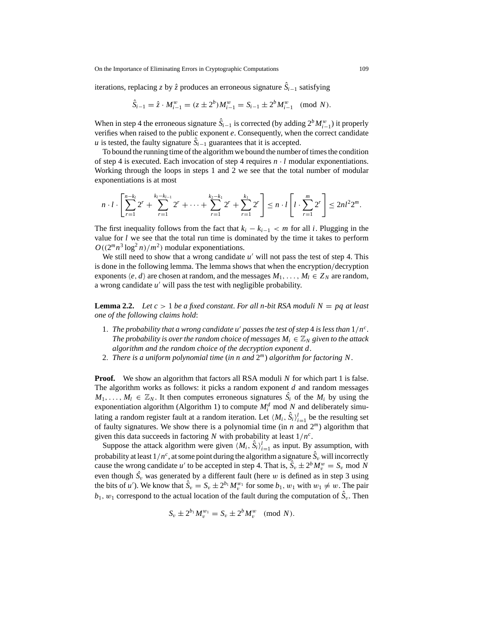On the Importance of Eliminating Errors in Cryptographic Computations 109

iterations, replacing *z* by *z*ˆ produces an erroneous signature *S*ˆ *<sup>i</sup>*−<sup>1</sup> satisfying

$$
\hat{S}_{i-1} = \hat{z} \cdot M_{i-1}^w = (z \pm 2^b) M_{i-1}^w = S_{i-1} \pm 2^b M_{i-1}^w \pmod{N}.
$$

When in step 4 the erroneous signature  $\hat{S}_{i-1}$  is corrected (by adding  $2^b M_{i-1}^w$ ) it properly verifies when raised to the public exponent *e*. Consequently, when the correct candidate *u* is tested, the faulty signature  $\hat{S}_{i-1}$  guarantees that it is accepted.

To bound the running time of the algorithm we bound the number of times the condition of step 4 is executed. Each invocation of step 4 requires  $n \cdot l$  modular exponentiations. Working through the loops in steps 1 and 2 we see that the total number of modular exponentiations is at most

$$
n \cdot l \cdot \left[ \sum_{r=1}^{n-k_l} 2^r + \sum_{r=1}^{k_l - k_{l-1}} 2^r + \dots + \sum_{r=1}^{k_2 - k_1} 2^r + \sum_{r=1}^{k_1} 2^r \right] \leq n \cdot l \left[ l \cdot \sum_{r=1}^{m} 2^r \right] \leq 2nl^2 2^m.
$$

The first inequality follows from the fact that  $k_i - k_{i-1} < m$  for all *i*. Plugging in the value for *l* we see that the total run time is dominated by the time it takes to perform  $O((2^m n^3 \log^2 n)/m^2)$  modular exponentiations.

We still need to show that a wrong candidate  $u'$  will not pass the test of step 4. This is done in the following lemma. The lemma shows that when the encryption/decryption exponents  $\langle e, d \rangle$  are chosen at random, and the messages  $M_1, \ldots, M_l \in Z_N$  are random, a wrong candidate  $u'$  will pass the test with negligible probability.

**Lemma 2.2.** Let  $c > 1$  be a fixed constant. For all n-bit RSA moduli  $N = pq$  at least *one of the following claims hold*:

- 1. The probability that a wrong candidate u' passes the test of step 4 is less than  $1/n<sup>c</sup>$ . *The probability is over the random choice of messages*  $M_i \in \mathbb{Z}_N$  *given to the attack algorithm and the random choice of the decryption exponent d*.
- 2. *There is a uniform polynomial time* (*in n and* 2*<sup>m</sup>*) *algorithm for factoring N*.

**Proof.** We show an algorithm that factors all RSA moduli *N* for which part 1 is false. The algorithm works as follows: it picks a random exponent *d* and random messages  $M_1, \ldots, M_l \in \mathbb{Z}_N$ . It then computes erroneous signatures  $\hat{S}_i$  of the  $M_i$  by using the exponentiation algorithm (Algorithm 1) to compute  $M_i^d$  mod N and deliberately simulating a random register fault at a random iteration. Let  $\langle M_i, \hat{S}_i \rangle_{i=1}^l$  be the resulting set of faulty signatures. We show there is a polynomial time (in *n* and 2*<sup>m</sup>*) algorithm that given this data succeeds in factoring *N* with probability at least 1/*n<sup>c</sup>*.

Suppose the attack algorithm were given  $\langle M_i, \hat{S}_i \rangle_{i=1}^l$  as input. By assumption, with probability at least  $1/n^c$ , at some point during the algorithm a signature  $\hat{S}_v$  will incorrectly cause the wrong candidate *u'* to be accepted in step 4. That is,  $\hat{S}_v \pm 2^b M_v^w = S_v \text{ mod } N$ even though  $\hat{S}_v$  was generated by a different fault (here w is defined as in step 3 using the bits of *u'*). We know that  $\hat{S}_v = S_v \pm 2^{b_1} M_v^{w_1}$  for some  $b_1, w_1$  with  $w_1 \neq w$ . The pair  $b_1$ ,  $w_1$  correspond to the actual location of the fault during the computation of  $\hat{S}_v$ . Then

$$
S_v \pm 2^{b_1} M_v^{w_1} = S_v \pm 2^b M_v^w \pmod{N}.
$$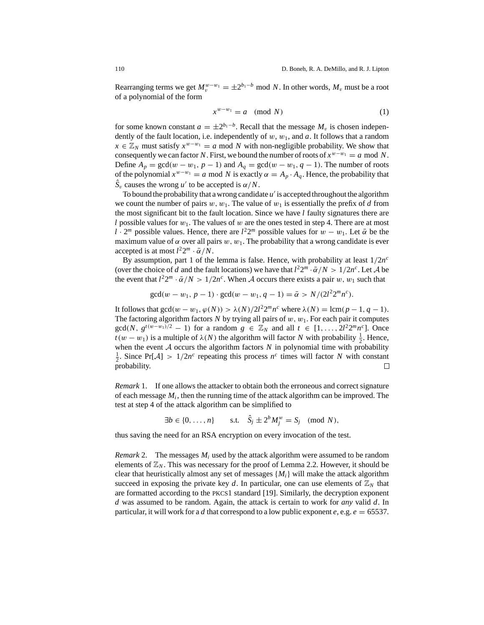Rearranging terms we get  $M_v^{w-w_1} = \pm 2^{b_1-b} \mod N$ . In other words,  $M_v$  must be a root of a polynomial of the form

$$
x^{w-w_1} = a \pmod{N} \tag{1}
$$

for some known constant  $a = \pm 2^{b_1-b}$ . Recall that the message  $M_v$  is chosen independently of the fault location, i.e. independently of  $w$ ,  $w_1$ , and  $a$ . It follows that a random *x* ∈  $\mathbb{Z}_N$  must satisfy  $x^{w-w_1} = a \text{ mod } N$  with non-negligible probability. We show that consequently we can factor *N*. First, we bound the number of roots of  $x^{w-w_1} = a \text{ mod } N$ . Define  $A_p = \gcd(w - w_1, p - 1)$  and  $A_q = \gcd(w - w_1, q - 1)$ . The number of roots of the polynomial  $x^{w-w_1} = a \text{ mod } N$  is exactly  $\alpha = A_p \cdot A_q$ . Hence, the probability that  $\hat{S}_v$  causes the wrong *u'* to be accepted is  $\alpha/N$ .

To bound the probability that a wrong candidate  $u'$  is accepted throughout the algorithm we count the number of pairs  $w, w_1$ . The value of  $w_1$  is essentially the prefix of *d* from the most significant bit to the fault location. Since we have *l* faulty signatures there are *l* possible values for  $w_1$ . The values of w are the ones tested in step 4. There are at most *l* · 2<sup>*m*</sup> possible values. Hence, there are  $l^22^m$  possible values for  $w - w_1$ . Let  $\bar{\alpha}$  be the maximum value of  $\alpha$  over all pairs w,  $w_1$ . The probability that a wrong candidate is ever accepted is at most  $l^2 2^m \cdot \overline{\alpha}/N$ .

By assumption, part 1 of the lemma is false. Hence, with probability at least  $1/2n<sup>c</sup>$ (over the choice of *d* and the fault locations) we have that  $l^2 2^m \cdot \overline{\alpha}/N > 1/2n^c$ . Let A be the event that  $l^2 2^m \cdot \bar{\alpha}/N > 1/2n^c$ . When A occurs there exists a pair w, w<sub>1</sub> such that

$$
\gcd(w - w_1, p - 1) \cdot \gcd(w - w_1, q - 1) = \bar{\alpha} > N/(2l^2 2^m n^c).
$$

It follows that  $gcd(w - w_1, \varphi(N)) > \lambda(N)/2l^2 2^m n^c$  where  $\lambda(N) = lcm(p - 1, q - 1)$ . The factoring algorithm factors  $N$  by trying all pairs of  $w, w_1$ . For each pair it computes gcd(*N*,  $g^{t(w-w_1)/2} - 1$ ) for a random  $g \in \mathbb{Z}_N$  and all  $t \in [1, \ldots, 2l^2 2^m n^c]$ . Once *t*(*w* − *w*<sub>1</sub>) is a multiple of  $\lambda$ (*N*) the algorithm will factor *N* with probability  $\frac{1}{2}$ . Hence, when the event  $A$  occurs the algorithm factors  $N$  in polynomial time with probability  $\frac{1}{2}$ . Since Pr[A] >  $1/2n^c$  repeating this process  $n^c$  times will factor *N* with constant probability.

*Remark* 1. If one allows the attacker to obtain both the erroneous and correct signature of each message  $M_i$ , then the running time of the attack algorithm can be improved. The test at step 4 of the attack algorithm can be simplified to

$$
\exists b \in \{0, \ldots, n\} \qquad \text{s.t.} \quad \hat{S}_j \pm 2^b M_j^w = S_j \pmod{N},
$$

thus saving the need for an RSA encryption on every invocation of the test.

*Remark* 2. The messages  $M_i$  used by the attack algorithm were assumed to be random elements of  $\mathbb{Z}_N$ . This was necessary for the proof of Lemma 2.2. However, it should be clear that heuristically almost any set of messages  ${M<sub>i</sub>}$  will make the attack algorithm succeed in exposing the private key  $d$ . In particular, one can use elements of  $\mathbb{Z}_N$  that are formatted according to the PKCS1 standard [19]. Similarly, the decryption exponent *d* was assumed to be random. Again, the attack is certain to work for *any* valid *d*. In particular, it will work for a *d* that correspond to a low public exponent  $e$ , e.g.  $e = 65537$ .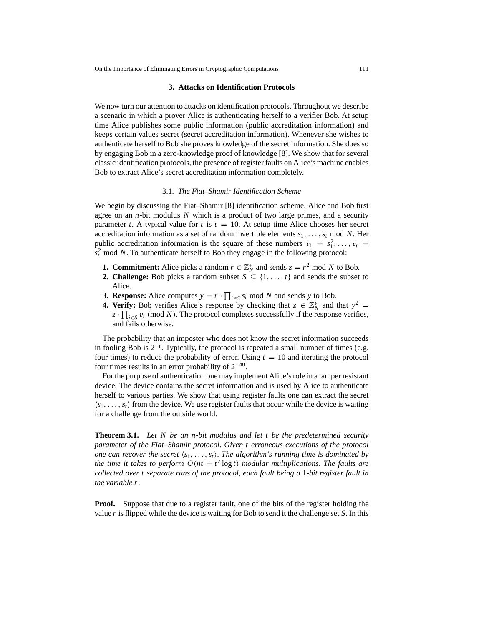## **3. Attacks on Identification Protocols**

We now turn our attention to attacks on identification protocols. Throughout we describe a scenario in which a prover Alice is authenticating herself to a verifier Bob. At setup time Alice publishes some public information (public accreditation information) and keeps certain values secret (secret accreditation information). Whenever she wishes to authenticate herself to Bob she proves knowledge of the secret information. She does so by engaging Bob in a zero-knowledge proof of knowledge [8]. We show that for several classic identification protocols, the presence of register faults on Alice's machine enables Bob to extract Alice's secret accreditation information completely.

## 3.1. *The Fiat–Shamir Identification Scheme*

We begin by discussing the Fiat–Shamir [8] identification scheme. Alice and Bob first agree on an *n*-bit modulus *N* which is a product of two large primes, and a security parameter *t*. A typical value for *t* is  $t = 10$ . At setup time Alice chooses her secret accreditation information as a set of random invertible elements  $s_1, \ldots, s_t$  mod N. Her public accreditation information is the square of these numbers  $v_1 = s_1^2, \ldots, v_t =$  $s_t^2$  mod *N*. To authenticate herself to Bob they engage in the following protocol:

- **1. Commitment:** Alice picks a random  $r \in \mathbb{Z}_N^*$  and sends  $z = r^2 \text{ mod } N$  to Bob.
- **2. Challenge:** Bob picks a random subset  $S \subseteq \{1, ..., t\}$  and sends the subset to Alice.
- **3. Response:** Alice computes  $y = r \cdot \prod_{i \in S} s_i \text{ mod } N$  and sends y to Bob.
- **4. Verify:** Bob verifies Alice's response by checking that  $z \in \mathbb{Z}_N^*$  and that  $y^2 =$  $z \cdot \prod_{i \in S} v_i$  (mod *N*). The protocol completes successfully if the response verifies, and fails otherwise.

The probability that an imposter who does not know the secret information succeeds in fooling Bob is 2<sup>−</sup>*<sup>t</sup>* . Typically, the protocol is repeated a small number of times (e.g. four times) to reduce the probability of error. Using  $t = 10$  and iterating the protocol four times results in an error probability of  $2^{-40}$ .

For the purpose of authentication one may implement Alice's role in a tamper resistant device. The device contains the secret information and is used by Alice to authenticate herself to various parties. We show that using register faults one can extract the secret  $\langle s_1, \ldots, s_t \rangle$  from the device. We use register faults that occur while the device is waiting for a challenge from the outside world.

**Theorem 3.1.** *Let N be an n-bit modulus and let t be the predetermined security parameter of the Fiat–Shamir protocol*. *Given t erroneous executions of the protocol one can recover the secret*  $\langle s_1, \ldots, s_t \rangle$ . The algorithm's running time is dominated by *the time it takes to perform*  $O(nt + t^2 \log t)$  *modular multiplications. The faults are collected over t separate runs of the protocol*, *each fault being a* 1*-bit register fault in the variable r*.

**Proof.** Suppose that due to a register fault, one of the bits of the register holding the value *r* is flipped while the device is waiting for Bob to send it the challenge set *S*. In this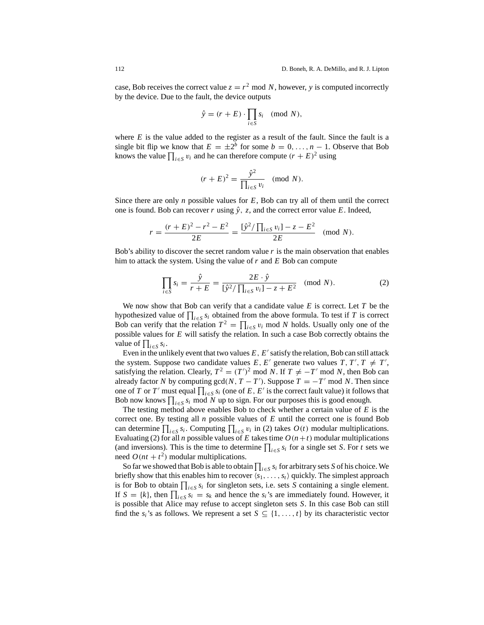case, Bob receives the correct value  $z = r^2 \text{ mod } N$ , however, *y* is computed incorrectly by the device. Due to the fault, the device outputs

$$
\hat{y} = (r + E) \cdot \prod_{i \in S} s_i \pmod{N},
$$

where  $E$  is the value added to the register as a result of the fault. Since the fault is a single bit flip we know that  $E = \pm 2^b$  for some  $b = 0, \ldots, n - 1$ . Observe that Bob knows the value  $\prod_{i \in S} v_i$  and he can therefore compute  $(r + E)^2$  using

$$
(r+E)^2 = \frac{\hat{y}^2}{\prod_{i \in S} v_i} \pmod{N}.
$$

Since there are only *n* possible values for *E*, Bob can try all of them until the correct one is found. Bob can recover *r* using  $\hat{y}$ , *z*, and the correct error value *E*. Indeed,

$$
r = \frac{(r+E)^2 - r^2 - E^2}{2E} = \frac{\left[\hat{y}^2 / \prod_{i \in S} v_i\right] - z - E^2}{2E}
$$
 (mod *N*).

Bob's ability to discover the secret random value *r* is the main observation that enables him to attack the system. Using the value of *r* and *E* Bob can compute

$$
\prod_{i \in S} s_i = \frac{\hat{y}}{r+E} = \frac{2E \cdot \hat{y}}{[\hat{y}^2 / \prod_{i \in S} v_i] - z + E^2} \pmod{N}.
$$
 (2)

We now show that Bob can verify that a candidate value *E* is correct. Let *T* be the hypothesized value of  $\prod_{i \in S} s_i$  obtained from the above formula. To test if *T* is correct Bob can verify that the relation  $T^2 = \prod_{i \in S} v_i \text{ mod } N$  holds. Usually only one of the possible values for *E* will satisfy the relation. In such a case Bob correctly obtains the value of  $\prod_{i \in S} s_i$ .

Even in the unlikely event that two values  $E, E'$  satisfy the relation, Bob can still attack the system. Suppose two candidate values *E*, *E'* generate two values *T*, *T'*, *T*  $\neq$  *T'*, satisfying the relation. Clearly,  $T^2 = (T')^2 \text{ mod } N$ . If  $T \neq -T' \text{ mod } N$ , then Bob can already factor *N* by computing  $gcd(N, T - T')$ . Suppose  $T = -T'$  mod *N*. Then since one of *T* or *T'* must equal  $\prod_{i \in S} s_i$  (one of *E*, *E'* is the correct fault value) it follows that Bob now knows  $\prod_{i \in S} s_i \mod N$  up to sign. For our purposes this is good enough.

The testing method above enables Bob to check whether a certain value of *E* is the correct one. By testing all *n* possible values of *E* until the correct one is found Bob can determine  $\prod_{i \in S} s_i$ . Computing  $\prod_{i \in S} v_i$  in (2) takes  $O(t)$  modular multiplications. Evaluating (2) for all *n* possible values of *E* takes time  $O(n + t)$  modular multiplications (and inversions). This is the time to determine  $\prod_{i \in S} s_i$  for a single set *S*. For *t* sets we need  $O(nt + t^2)$  modular multiplications.

So far we showed that Bob is able to obtain  $\prod_{i \in S} s_i$  for arbitrary sets *S* of his choice. We briefly show that this enables him to recover  $\langle s_1, \ldots, s_t \rangle$  quickly. The simplest approach is for Bob to obtain  $\prod_{i \in S} s_i$  for singleton sets, i.e. sets *S* containing a single element. If  $S = \{k\}$ , then  $\prod_{i \in S} s_i = s_k$  and hence the  $s_i$ 's are immediately found. However, it is possible that Alice may refuse to accept singleton sets *S*. In this case Bob can still find the  $s_i$ 's as follows. We represent a set  $S \subseteq \{1, \ldots, t\}$  by its characteristic vector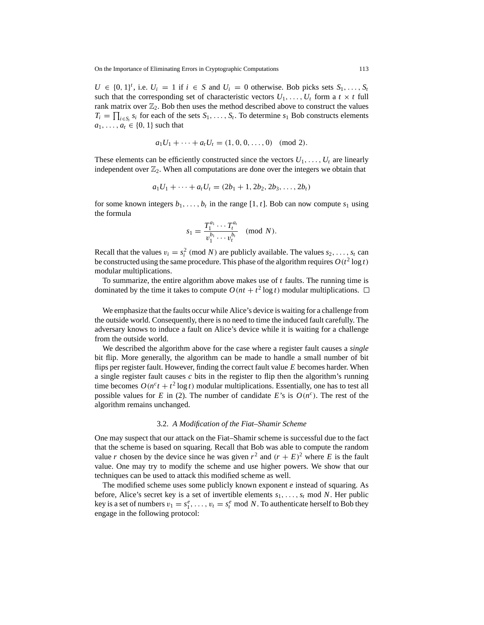$U \in \{0, 1\}^t$ , i.e.  $U_i = 1$  if  $i \in S$  and  $U_i = 0$  otherwise. Bob picks sets  $S_1, \ldots, S_t$ such that the corresponding set of characteristic vectors  $U_1, \ldots, U_t$  form a  $t \times t$  full rank matrix over  $\mathbb{Z}_2$ . Bob then uses the method described above to construct the values  $T_i = \prod_{i \in S_i} s_i$  for each of the sets  $S_1, \ldots, S_t$ . To determine  $s_1$  Bob constructs elements *a*<sub>1</sub>, ..., *a*<sub>*t*</sub>  $\in$  {0, 1} such that

$$
a_1U_1 + \cdots + a_tU_t = (1, 0, 0, \ldots, 0) \pmod{2}.
$$

These elements can be efficiently constructed since the vectors  $U_1, \ldots, U_t$  are linearly independent over  $\mathbb{Z}_2$ . When all computations are done over the integers we obtain that

$$
a_1U_1 + \dots + a_tU_t = (2b_1 + 1, 2b_2, 2b_3, \dots, 2b_t)
$$

for some known integers  $b_1, \ldots, b_t$  in the range [1, *t*]. Bob can now compute  $s_1$  using the formula

$$
s_1 = \frac{T_1^{a_1} \cdots T_t^{a_t}}{v_1^{b_1} \cdots v_t^{b_t}} \pmod{N}.
$$

Recall that the values  $v_i = s_i^2 \pmod{N}$  are publicly available. The values  $s_2, \ldots, s_t$  can be constructed using the same procedure. This phase of the algorithm requires  $O(t^2 \log t)$ modular multiplications.

To summarize, the entire algorithm above makes use of *t* faults. The running time is dominated by the time it takes to compute  $O(nt + t^2 \log t)$  modular multiplications.  $\Box$ 

We emphasize that the faults occur while Alice's device is waiting for a challenge from the outside world. Consequently, there is no need to time the induced fault carefully. The adversary knows to induce a fault on Alice's device while it is waiting for a challenge from the outside world.

We described the algorithm above for the case where a register fault causes a *single* bit flip. More generally, the algorithm can be made to handle a small number of bit flips per register fault. However, finding the correct fault value *E* becomes harder. When a single register fault causes *c* bits in the register to flip then the algorithm's running time becomes  $O(n^c t + t^2 \log t)$  modular multiplications. Essentially, one has to test all possible values for *E* in (2). The number of candidate *E*'s is  $O(n^c)$ . The rest of the algorithm remains unchanged.

#### 3.2. *A Modification of the Fiat–Shamir Scheme*

One may suspect that our attack on the Fiat–Shamir scheme is successful due to the fact that the scheme is based on squaring. Recall that Bob was able to compute the random value *r* chosen by the device since he was given  $r^2$  and  $(r + E)^2$  where *E* is the fault value. One may try to modify the scheme and use higher powers. We show that our techniques can be used to attack this modified scheme as well.

The modified scheme uses some publicly known exponent *e* instead of squaring. As before, Alice's secret key is a set of invertible elements *s*1,...,*st* mod *N*. Her public key is a set of numbers  $v_1 = s_1^e, \ldots, v_t = s_t^e \mod N$ . To authenticate herself to Bob they engage in the following protocol: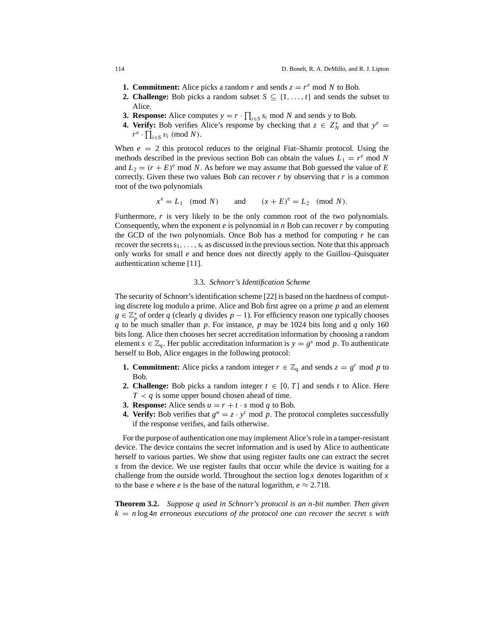- **1. Commitment:** Alice picks a random *r* and sends  $z = r^e \text{ mod } N$  to Bob.
- **2. Challenge:** Bob picks a random subset  $S \subseteq \{1, ..., t\}$  and sends the subset to Alice.
- **3. Response:** Alice computes  $y = r \cdot \prod_{i \in S} s_i \text{ mod } N$  and sends y to Bob.
- **4. Verify:** Bob verifies Alice's response by checking that  $z \in Z_N^*$  and that  $y^e =$  $r^e \cdot \prod_{i \in S} v_i \pmod{N}$ .

When  $e = 2$  this protocol reduces to the original Fiat–Shamir protocol. Using the methods described in the previous section Bob can obtain the values  $L_1 = r^e \mod N$ and  $L_2 = (r + E)^e$  mod *N*. As before we may assume that Bob guessed the value of *E* correctly. Given these two values Bob can recover *r* by observing that *r* is a common root of the two polynomials

> $x^e = L_1 \pmod{N}$  and  $(x + E)^e = L_2 \pmod{N}$ .

Furthermore, *r* is very likely to be the only common root of the two polynomials. Consequently, when the exponent *e* is polynomial in *n* Bob can recover *r* by computing the GCD of the two polynomials. Once Bob has a method for computing  $r$  he can recover the secrets  $s_1, \ldots, s_t$  as discussed in the previous section. Note that this approach only works for small *e* and hence does not directly apply to the Guillou–Quisquater authentication scheme [11].

## 3.3. *Schnorr's Identification Scheme*

The security of Schnorr's identification scheme [22] is based on the hardness of computing discrete log modulo a prime. Alice and Bob first agree on a prime *p* and an element *g* ∈  $\mathbb{Z}_p^*$  of order *q* (clearly *q* divides *p* − 1). For efficiency reason one typically chooses *q* to be much smaller than *p*. For instance, *p* may be 1024 bits long and *q* only 160 bits long. Alice then chooses her secret accreditation information by choosing a random element  $s \in \mathbb{Z}_q$ . Her public accreditation information is  $y = g^s \mod p$ . To authenticate herself to Bob, Alice engages in the following protocol:

- **1. Commitment:** Alice picks a random integer  $r \in \mathbb{Z}_q$  and sends  $z = g^r \mod p$  to Bob.
- **2. Challenge:** Bob picks a random integer  $t \in [0, T]$  and sends  $t$  to Alice. Here  $T < q$  is some upper bound chosen ahead of time.
- **3. Response:** Alice sends  $u = r + t \cdot s \mod q$  to Bob.
- **4. Verify:** Bob verifies that  $g^u = z \cdot y^t \mod p$ . The protocol completes successfully if the response verifies, and fails otherwise.

For the purpose of authentication one may implement Alice's role in a tamper-resistant device. The device contains the secret information and is used by Alice to authenticate herself to various parties. We show that using register faults one can extract the secret *s* from the device. We use register faults that occur while the device is waiting for a challenge from the outside world. Throughout the section log *x* denotes logarithm of *x* to the base *e* where *e* is the base of the natural logarithm,  $e \approx 2.718$ .

**Theorem 3.2.** *Suppose q used in Schnorr's protocol is an n-bit number*. *Then given k* = *n* log 4*n erroneous executions of the protocol one can recover the secret s with*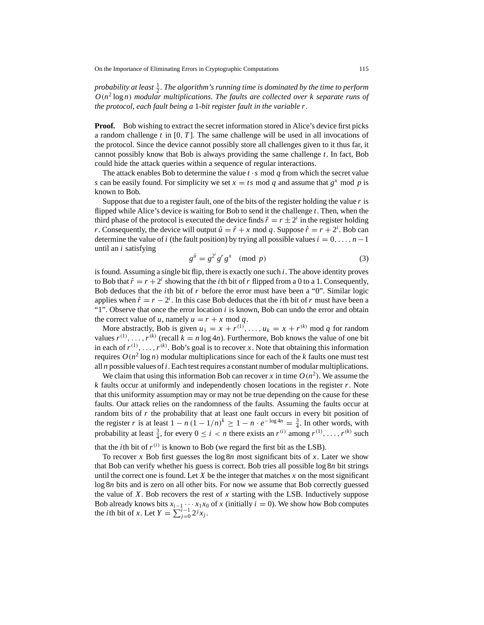*probability at least* <sup>1</sup> <sup>2</sup> . *The algorithm's running time is dominated by the time to perform O*(*n*<sup>2</sup> log *n*) *modular multiplications*. *The faults are collected over k separate runs of the protocol*, *each fault being a* 1*-bit register fault in the variable r*.

**Proof.** Bob wishing to extract the secret information stored in Alice's device first picks a random challenge  $t$  in  $[0, T]$ . The same challenge will be used in all invocations of the protocol. Since the device cannot possibly store all challenges given to it thus far, it cannot possibly know that Bob is always providing the same challenge *t*. In fact, Bob could hide the attack queries within a sequence of regular interactions.

The attack enables Bob to determine the value *t* ·*s* mod *q* from which the secret value *s* can be easily found. For simplicity we set  $x = ts \mod q$  and assume that  $g^x \mod p$  is known to Bob.

Suppose that due to a register fault, one of the bits of the register holding the value *r* is flipped while Alice's device is waiting for Bob to send it the challenge *t*. Then, when the third phase of the protocol is executed the device finds  $\hat{r} = r \pm 2^{i}$  in the register holding *r*. Consequently, the device will output  $\hat{u} = \hat{r} + x \mod q$ . Suppose  $\hat{r} = r + 2^i$ . Bob can determine the value of *i* (the fault position) by trying all possible values  $i = 0, \ldots, n - 1$ until an *i* satisfying

$$
g^{\hat{u}} = g^{2^i} g^r g^x \pmod{p}
$$
 (3)

is found. Assuming a single bit flip, there is exactly one such *i*. The above identity proves to Bob that  $\hat{r} = r + 2^i$  showing that the *i*th bit of r flipped from a 0 to a 1. Consequently, Bob deduces that the *i*th bit of *r* before the error must have been a "0". Similar logic applies when  $\hat{r} = r - 2^i$ . In this case Bob deduces that the *i*th bit of *r* must have been a "1". Observe that once the error location *i* is known, Bob can undo the error and obtain the correct value of *u*, namely  $u = r + x \mod q$ .

More abstractly, Bob is given  $u_1 = x + r^{(1)}$ , ...,  $u_k = x + r^{(k)}$  mod *q* for random values  $r^{(1)}$ , ...,  $r^{(k)}$  (recall  $k = n \log 4n$ ). Furthermore, Bob knows the value of one bit in each of  $r^{(1)}, \ldots, r^{(k)}$ . Bob's goal is to recover *x*. Note that obtaining this information requires  $O(n^2 \log n)$  modular multiplications since for each of the *k* faults one must test all *n* possible values of*i*. Each test requires a constant number of modular multiplications.

We claim that using this information Bob can recover *x* in time  $O(n^2)$ . We assume the *k* faults occur at uniformly and independently chosen locations in the register *r*. Note that this uniformity assumption may or may not be true depending on the cause for these faults. Our attack relies on the randomness of the faults. Assuming the faults occur at random bits of *r* the probability that at least one fault occurs in every bit position of the register *r* is at least  $1 - n(1 - 1/n)^k \ge 1 - n \cdot e^{-\log 4n} = \frac{3}{4}$ . In other words, with probability at least  $\frac{3}{4}$ , for every  $0 \le i < n$  there exists an  $r^{(i)}$  among  $r^{(1)}, \ldots, r^{(k)}$  such

that the *i*th bit of  $r^{(i)}$  is known to Bob (we regard the first bit as the LSB).

To recover *x* Bob first guesses the  $\log 8n$  most significant bits of *x*. Later we show that Bob can verify whether his guess is correct. Bob tries all possible log 8*n* bit strings until the correct one is found. Let *X* be the integer that matches *x* on the most significant log 8*n* bits and is zero on all other bits. For now we assume that Bob correctly guessed the value of  $X$ . Bob recovers the rest of  $x$  starting with the LSB. Inductively suppose Bob already knows bits  $x_{i-1} \cdots x_1 x_0$  of *x* (initially  $i = 0$ ). We show how Bob computes the *i*th bit of *x*. Let  $Y = \sum_{j=0}^{i-1} 2^j x_j$ .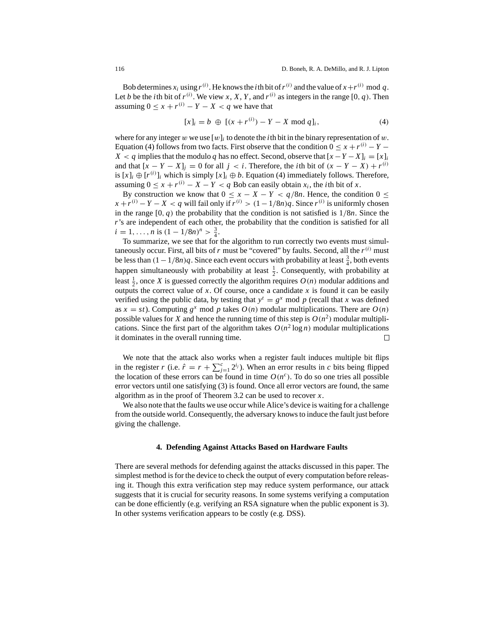Bob determines  $x_i$  using  $r^{(i)}$ . He knows the *i*th bit of  $r^{(i)}$  and the value of  $x+r^{(i)}$  mod  $q$ . Let *b* be the *i*th bit of  $r^{(i)}$ . We view *x*, *X*, *Y*, and  $r^{(i)}$  as integers in the range [0, *q*). Then assuming  $0 \le x + r^{(i)} - Y - X \le q$  we have that

$$
[x]_i = b \oplus [(x + r^{(i)}) - Y - X \bmod q]_i,
$$
 (4)

where for any integer w we use  $[w]_i$  to denote the *i*th bit in the binary representation of w. Equation (4) follows from two facts. First observe that the condition  $0 \le x + r^{(i)} - Y -$ *X* < *q* implies that the modulo *q* has no effect. Second, observe that  $[x - Y - X]_i = [x]_i$ and that  $[x - Y - X]_i = 0$  for all  $j < i$ . Therefore, the *i*th bit of  $(x - Y - X) + r^{(i)}$ is  $[x]_i \oplus [r^{(i)}]_i$  which is simply  $[x]_i \oplus b$ . Equation (4) immediately follows. Therefore, assuming  $0 \le x + r^{(i)} - X - Y < q$  Bob can easily obtain  $x_i$ , the *i*th bit of *x*.

By construction we know that  $0 \le x - X - Y < q/8n$ . Hence, the condition  $0 \le$  $x + r^{(i)} - Y - X < q$  will fail only if  $r^{(i)} > (1 - 1/8n)q$ . Since  $r^{(i)}$  is uniformly chosen in the range  $[0, q)$  the probability that the condition is not satisfied is  $1/8n$ . Since the *r*'s are independent of each other, the probability that the condition is satisfied for all  $i = 1, \ldots, n$  is  $(1 - 1/8n)^n > \frac{3}{4}$ .

To summarize, we see that for the algorithm to run correctly two events must simultaneously occur. First, all bits of  $r$  must be "covered" by faults. Second, all the  $r^{(i)}$  must be less than  $(1 - 1/8n)q$ . Since each event occurs with probability at least  $\frac{3}{4}$ , both events happen simultaneously with probability at least  $\frac{1}{2}$ . Consequently, with probability at least  $\frac{1}{2}$ , once *X* is guessed correctly the algorithm requires  $O(n)$  modular additions and outputs the correct value of  $x$ . Of course, once a candidate  $x$  is found it can be easily verified using the public data, by testing that  $y^t = g^x \mod p$  (recall that *x* was defined as  $x = st$ ). Computing  $g^x$  mod p takes  $O(n)$  modular multiplications. There are  $O(n)$ possible values for *X* and hence the running time of this step is  $O(n^2)$  modular multiplications. Since the first part of the algorithm takes  $O(n^2 \log n)$  modular multiplications it dominates in the overall running time.  $\Box$ 

We note that the attack also works when a register fault induces multiple bit flips in the register *r* (i.e.  $\hat{r} = r + \sum_{j=1}^{c} 2^{i_j}$ ). When an error results in *c* bits being flipped the location of these errors can be found in time  $O(n<sup>c</sup>)$ . To do so one tries all possible error vectors until one satisfying (3) is found. Once all error vectors are found, the same algorithm as in the proof of Theorem 3.2 can be used to recover *x*.

We also note that the faults we use occur while Alice's device is waiting for a challenge from the outside world. Consequently, the adversary knows to induce the fault just before giving the challenge.

#### **4. Defending Against Attacks Based on Hardware Faults**

There are several methods for defending against the attacks discussed in this paper. The simplest method is for the device to check the output of every computation before releasing it. Though this extra verification step may reduce system performance, our attack suggests that it is crucial for security reasons. In some systems verifying a computation can be done efficiently (e.g. verifying an RSA signature when the public exponent is 3). In other systems verification appears to be costly (e.g. DSS).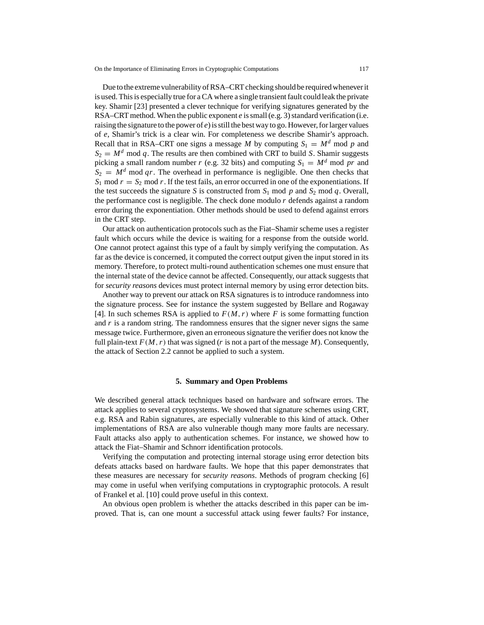Due to the extreme vulnerability of RSA–CRT checking should be required whenever it is used. This is especially true for a CA where a single transient fault could leak the private key. Shamir [23] presented a clever technique for verifying signatures generated by the RSA–CRT method. When the public exponent *e* is small (e.g. 3) standard verification (i.e. raising the signature to the power of *e*) is still the best way to go. However, for larger values of *e*, Shamir's trick is a clear win. For completeness we describe Shamir's approach. Recall that in RSA–CRT one signs a message M by computing  $S_1 = M^d$  mod p and  $S_2 = M^d$  mod *q*. The results are then combined with CRT to build *S*. Shamir suggests picking a small random number *r* (e.g. 32 bits) and computing  $S_1 = M^d$  mod *pr* and  $S_2 = M^d$  mod *qr*. The overhead in performance is negligible. One then checks that  $S_1$  mod  $r = S_2$  mod *r*. If the test fails, an error occurred in one of the exponentiations. If the test succeeds the signature *S* is constructed from  $S_1$  mod  $p$  and  $S_2$  mod  $q$ . Overall, the performance cost is negligible. The check done modulo *r* defends against a random error during the exponentiation. Other methods should be used to defend against errors in the CRT step.

Our attack on authentication protocols such as the Fiat–Shamir scheme uses a register fault which occurs while the device is waiting for a response from the outside world. One cannot protect against this type of a fault by simply verifying the computation. As far as the device is concerned, it computed the correct output given the input stored in its memory. Therefore, to protect multi-round authentication schemes one must ensure that the internal state of the device cannot be affected. Consequently, our attack suggests that for *security reasons* devices must protect internal memory by using error detection bits.

Another way to prevent our attack on RSA signatures is to introduce randomness into the signature process. See for instance the system suggested by Bellare and Rogaway [4]. In such schemes RSA is applied to  $F(M, r)$  where *F* is some formatting function and  $r$  is a random string. The randomness ensures that the signer never signs the same message twice. Furthermore, given an erroneous signature the verifier does not know the full plain-text  $F(M, r)$  that was signed (*r* is not a part of the message *M*). Consequently, the attack of Section 2.2 cannot be applied to such a system.

## **5. Summary and Open Problems**

We described general attack techniques based on hardware and software errors. The attack applies to several cryptosystems. We showed that signature schemes using CRT, e.g. RSA and Rabin signatures, are especially vulnerable to this kind of attack. Other implementations of RSA are also vulnerable though many more faults are necessary. Fault attacks also apply to authentication schemes. For instance, we showed how to attack the Fiat–Shamir and Schnorr identification protocols.

Verifying the computation and protecting internal storage using error detection bits defeats attacks based on hardware faults. We hope that this paper demonstrates that these measures are necessary for *security reasons*. Methods of program checking [6] may come in useful when verifying computations in cryptographic protocols. A result of Frankel et al. [10] could prove useful in this context.

An obvious open problem is whether the attacks described in this paper can be improved. That is, can one mount a successful attack using fewer faults? For instance,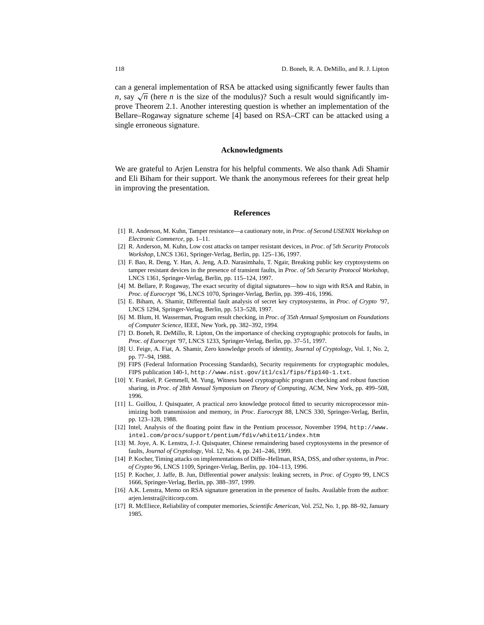can a general implementation of RSA be attacked using significantly fewer faults than *n*, say  $\sqrt{n}$  (here *n* is the size of the modulus)? Such a result would significantly improve Theorem 2.1. Another interesting question is whether an implementation of the Bellare–Rogaway signature scheme [4] based on RSA–CRT can be attacked using a single erroneous signature.

### **Acknowledgments**

We are grateful to Arjen Lenstra for his helpful comments. We also thank Adi Shamir and Eli Biham for their support. We thank the anonymous referees for their great help in improving the presentation.

## **References**

- [1] R. Anderson, M. Kuhn, Tamper resistance—a cautionary note, in *Proc*. *of Second USENIX Workshop on Electronic Commerce*, pp. 1–11.
- [2] R. Anderson, M. Kuhn, Low cost attacks on tamper resistant devices, in *Proc*. *of* 5*th Security Protocols Workshop*, LNCS 1361, Springer-Verlag, Berlin, pp. 125–136, 1997.
- [3] F. Bao, R. Deng, Y. Han, A. Jeng, A.D. Narasimhalu, T. Ngair, Breaking public key cryptosystems on tamper resistant devices in the presence of transient faults, in *Proc*. *of* 5*th Security Protocol Workshop*, LNCS 1361, Springer-Verlag, Berlin, pp. 115–124, 1997.
- [4] M. Bellare, P. Rogaway, The exact security of digital signatures—how to sign with RSA and Rabin, in *Proc*. *of Eurocrypt '*96, LNCS 1070, Springer-Verlag, Berlin, pp. 399–416, 1996.
- [5] E. Biham, A. Shamir, Differential fault analysis of secret key cryptosystems, in *Proc*. *of Crypto '*97, LNCS 1294, Springer-Verlag, Berlin, pp. 513–528, 1997.
- [6] M. Blum, H. Wasserman, Program result checking, in *Proc*. *of* 35*th Annual Symposium on Foundations of Computer Science*, IEEE, New York, pp. 382–392, 1994.
- [7] D. Boneh, R. DeMillo, R. Lipton, On the importance of checking cryptographic protocols for faults, in *Proc*. *of Eurocrypt '*97, LNCS 1233, Springer-Verlag, Berlin, pp. 37–51, 1997.
- [8] U. Feige, A. Fiat, A. Shamir, Zero knowledge proofs of identity, *Journal of Cryptology*, Vol. 1, No. 2, pp. 77–94, 1988.
- [9] FIPS (Federal Information Processing Standards), Security requirements for cryptographic modules, FIPS publication 140-1, http://www.nist.gov/itl/csl/fips/fip140-1.txt.
- [10] Y. Frankel, P. Gemmell, M. Yung, Witness based cryptographic program checking and robust function sharing, in *Proc*. *of* 28*th Annual Symposium on Theory of Computing*, ACM, New York, pp. 499–508, 1996.
- [11] L. Guillou, J. Quisquater, A practical zero knowledge protocol fitted to security microprocessor minimizing both transmission and memory, in *Proc*. *Eurocrypt* 88, LNCS 330, Springer-Verlag, Berlin, pp. 123–128, 1988.
- [12] Intel, Analysis of the floating point flaw in the Pentium processor, November 1994, http://www. intel.com/procs/support/pentium/fdiv/white11/index.htm
- [13] M. Joye, A. K. Lenstra, J.-J. Quisquater, Chinese remaindering based cryptosystems in the presence of faults, *Journal of Cryptology*, Vol. 12, No. 4, pp. 241–246, 1999.
- [14] P. Kocher, Timing attacks on implementations of Diffie–Hellman, RSA, DSS, and other systems, in *Proc*. *of Crypto* 96, LNCS 1109, Springer-Verlag, Berlin, pp. 104–113, 1996.
- [15] P. Kocher, J. Jaffe, B. Jun, Differential power analysis: leaking secrets, in *Proc*. *of Crypto* 99, LNCS 1666, Springer-Verlag, Berlin, pp. 388–397, 1999.
- [16] A.K. Lenstra, Memo on RSA signature generation in the presence of faults. Available from the author: arien.lenstra@citicorp.com.
- [17] R. McEliece, Reliability of computer memories, *Scientific American*, Vol. 252, No. 1, pp. 88–92, January 1985.